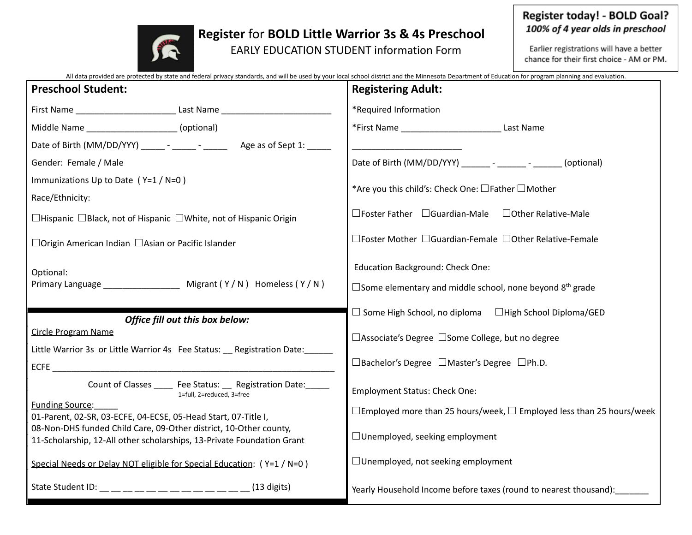## **Register** for **BOLD Little Warrior 3s & 4s Preschool**

EARLY EDUCATION STUDENT information Form

## Register today! - BOLD Goal? 100% of 4 year olds in preschool

Earlier registrations will have a better chance for their first choice - AM or PM.

|                                                                                                                                     | All data provided are protected by state and federal privacy standards, and will be used by your local school district and the Minnesota Department of Education for program planning and evaluation. |
|-------------------------------------------------------------------------------------------------------------------------------------|-------------------------------------------------------------------------------------------------------------------------------------------------------------------------------------------------------|
| <b>Preschool Student:</b>                                                                                                           | <b>Registering Adult:</b>                                                                                                                                                                             |
| First Name _________________________________ Last Name _________________________                                                    | *Required Information                                                                                                                                                                                 |
| Middle Name ____________________(optional)                                                                                          | Last Name                                                                                                                                                                                             |
|                                                                                                                                     |                                                                                                                                                                                                       |
| Gender: Female / Male                                                                                                               | Date of Birth (MM/DD/YYY) __________ - ________ - (optional)                                                                                                                                          |
| Immunizations Up to Date (Y=1/N=0)                                                                                                  |                                                                                                                                                                                                       |
| Race/Ethnicity:                                                                                                                     | *Are you this child's: Check One: □Father □Mother                                                                                                                                                     |
| $\Box$ Hispanic $\Box$ Black, not of Hispanic $\Box$ White, not of Hispanic Origin                                                  | $\Box$ Foster Father $\Box$ Guardian-Male<br>□Other Relative-Male                                                                                                                                     |
| □Origin American Indian □Asian or Pacific Islander                                                                                  | □Foster Mother □Guardian-Female □Other Relative-Female                                                                                                                                                |
| Optional:                                                                                                                           | <b>Education Background: Check One:</b>                                                                                                                                                               |
|                                                                                                                                     | $\Box$ Some elementary and middle school, none beyond $8th$ grade                                                                                                                                     |
|                                                                                                                                     | $\Box$ Some High School, no diploma $\Box$ High School Diploma/GED                                                                                                                                    |
| Office fill out this box below:<br><b>Circle Program Name</b>                                                                       |                                                                                                                                                                                                       |
| Little Warrior 3s or Little Warrior 4s Fee Status: Registration Date:                                                               | □Associate's Degree □Some College, but no degree                                                                                                                                                      |
|                                                                                                                                     | □Bachelor's Degree □Master's Degree □Ph.D.                                                                                                                                                            |
| Count of Classes _____ Fee Status: __ Registration Date: _____<br>1=full, 2=reduced, 3=free                                         | <b>Employment Status: Check One:</b>                                                                                                                                                                  |
| <b>Funding Source:</b>                                                                                                              | $\Box$ Employed more than 25 hours/week, $\Box$ Employed less than 25 hours/week                                                                                                                      |
| 01-Parent, 02-SR, 03-ECFE, 04-ECSE, 05-Head Start, 07-Title I,<br>08-Non-DHS funded Child Care, 09-Other district, 10-Other county, |                                                                                                                                                                                                       |
| 11-Scholarship, 12-All other scholarships, 13-Private Foundation Grant                                                              | $\Box$ Unemployed, seeking employment                                                                                                                                                                 |
| Special Needs or Delay NOT eligible for Special Education: (Y=1/N=0)                                                                | $\Box$ Unemployed, not seeking employment                                                                                                                                                             |
|                                                                                                                                     | Yearly Household Income before taxes (round to nearest thousand):                                                                                                                                     |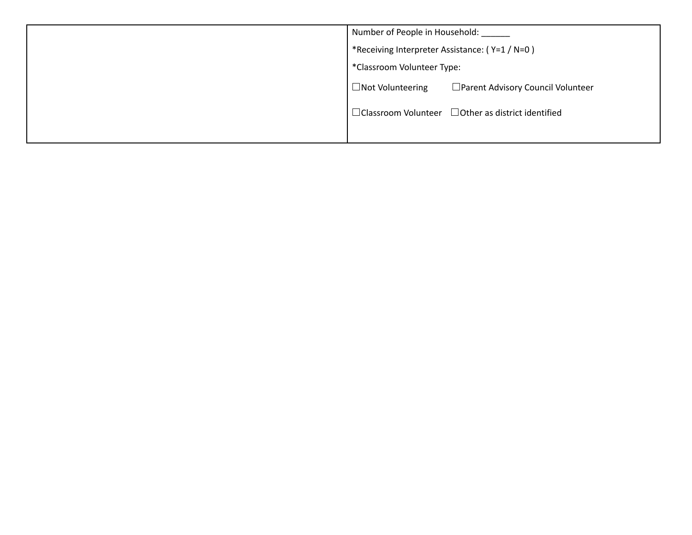| Number of People in Household:                                 |
|----------------------------------------------------------------|
| *Receiving Interpreter Assistance: (Y=1 / N=0)                 |
| *Classroom Volunteer Type:                                     |
| □ Parent Advisory Council Volunteer<br>$\Box$ Not Volunteering |
| $\Box$ Classroom Volunteer $\Box$ Other as district identified |
|                                                                |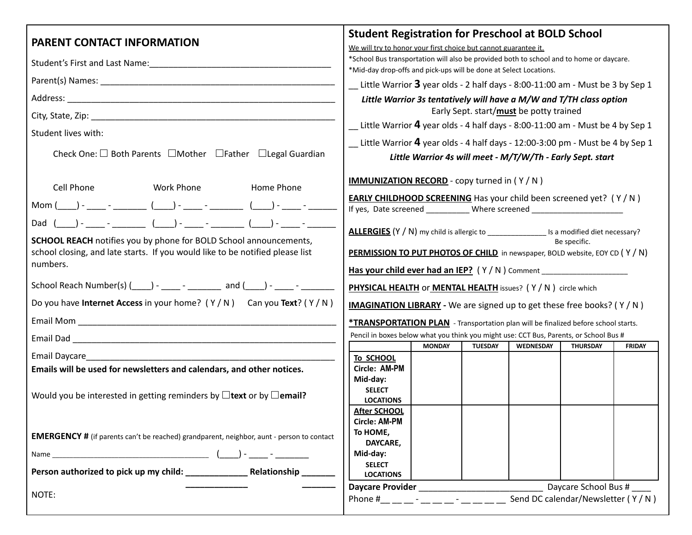|                                                                                                                                                                                                                                                                                                                                                                                                                                                                                                                                                   | <b>Student Registration for Preschool at BOLD School</b>                                                                                                                                                                                                                                                                                                                                                                                                                                                                                                                                                                                                  |
|---------------------------------------------------------------------------------------------------------------------------------------------------------------------------------------------------------------------------------------------------------------------------------------------------------------------------------------------------------------------------------------------------------------------------------------------------------------------------------------------------------------------------------------------------|-----------------------------------------------------------------------------------------------------------------------------------------------------------------------------------------------------------------------------------------------------------------------------------------------------------------------------------------------------------------------------------------------------------------------------------------------------------------------------------------------------------------------------------------------------------------------------------------------------------------------------------------------------------|
| <b>PARENT CONTACT INFORMATION</b>                                                                                                                                                                                                                                                                                                                                                                                                                                                                                                                 | We will try to honor your first choice but cannot guarantee it.                                                                                                                                                                                                                                                                                                                                                                                                                                                                                                                                                                                           |
|                                                                                                                                                                                                                                                                                                                                                                                                                                                                                                                                                   | *School Bus transportation will also be provided both to school and to home or daycare.<br>*Mid-day drop-offs and pick-ups will be done at Select Locations.                                                                                                                                                                                                                                                                                                                                                                                                                                                                                              |
|                                                                                                                                                                                                                                                                                                                                                                                                                                                                                                                                                   | $\equiv$ Little Warrior 3 year olds - 2 half days - 8:00-11:00 am - Must be 3 by Sep 1                                                                                                                                                                                                                                                                                                                                                                                                                                                                                                                                                                    |
|                                                                                                                                                                                                                                                                                                                                                                                                                                                                                                                                                   | Little Warrior 3s tentatively will have a M/W and T/TH class option                                                                                                                                                                                                                                                                                                                                                                                                                                                                                                                                                                                       |
|                                                                                                                                                                                                                                                                                                                                                                                                                                                                                                                                                   | Early Sept. start/must be potty trained                                                                                                                                                                                                                                                                                                                                                                                                                                                                                                                                                                                                                   |
| Student lives with:                                                                                                                                                                                                                                                                                                                                                                                                                                                                                                                               | $\equiv$ Little Warrior 4 year olds - 4 half days - 8:00-11:00 am - Must be 4 by Sep 1                                                                                                                                                                                                                                                                                                                                                                                                                                                                                                                                                                    |
|                                                                                                                                                                                                                                                                                                                                                                                                                                                                                                                                                   | $\equiv$ Little Warrior 4 year olds - 4 half days - 12:00-3:00 pm - Must be 4 by Sep 1                                                                                                                                                                                                                                                                                                                                                                                                                                                                                                                                                                    |
| Check One: □ Both Parents □ Mother □ Father □ Legal Guardian                                                                                                                                                                                                                                                                                                                                                                                                                                                                                      | Little Warrior 4s will meet - M/T/W/Th - Early Sept. start                                                                                                                                                                                                                                                                                                                                                                                                                                                                                                                                                                                                |
| Cell Phone<br><b>Work Phone</b><br>Home Phone<br>Mom (____) - ____ - _______ (____) - ____ - ________ (____) - ____ - _<br>Dad ( ) - _ _ - _ _ ( _ _) - _ _ - _ _ ( _ _) - _ _ - _ _ _ _ ( _ _) - _ _ - _<br><b>SCHOOL REACH</b> notifies you by phone for BOLD School announcements,<br>school closing, and late starts. If you would like to be notified please list<br>numbers.<br>School Reach Number(s) (_____) - _____ - _________ and (____) - _____ - ________<br>Do you have Internet Access in your home? $(Y/N)$ Can you Text? $(Y/N)$ | <b>IMMUNIZATION RECORD</b> - copy turned in (Y/N)<br><b>EARLY CHILDHOOD SCREENING</b> Has your child been screened yet? (Y/N)<br>If yes, Date screened ___________ Where screened _______________________________<br>ALLERGIES (Y / N) my child is allergic to ___________________ Is a modified diet necessary?<br>Be specific.<br><b>PERMISSION TO PUT PHOTOS OF CHILD</b> in newspaper, BOLD website, EOY CD (Y/N)<br>Has your child ever had an IEP? (Y/N) Comment ___________________________________<br>PHYSICAL HEALTH OF MENTAL HEALTH issues? (Y/N) circle which<br><b>IMAGINATION LIBRARY</b> - We are signed up to get these free books? (Y/N) |
|                                                                                                                                                                                                                                                                                                                                                                                                                                                                                                                                                   | <b>*TRANSPORTATION PLAN</b> - Transportation plan will be finalized before school starts.                                                                                                                                                                                                                                                                                                                                                                                                                                                                                                                                                                 |
|                                                                                                                                                                                                                                                                                                                                                                                                                                                                                                                                                   | Pencil in boxes below what you think you might use: CCT Bus, Parents, or School Bus #                                                                                                                                                                                                                                                                                                                                                                                                                                                                                                                                                                     |
| Email Daycare_                                                                                                                                                                                                                                                                                                                                                                                                                                                                                                                                    | <b>MONDAY</b><br><b>TUESDAY</b><br><b>WEDNESDAY</b><br><b>FRIDAY</b><br><b>THURSDAY</b>                                                                                                                                                                                                                                                                                                                                                                                                                                                                                                                                                                   |
| Emails will be used for newsletters and calendars, and other notices.                                                                                                                                                                                                                                                                                                                                                                                                                                                                             | To SCHOOL<br>Circle: AM-PM                                                                                                                                                                                                                                                                                                                                                                                                                                                                                                                                                                                                                                |
| Would you be interested in getting reminders by $\Box$ text or by $\Box$ email?                                                                                                                                                                                                                                                                                                                                                                                                                                                                   | Mid-day:<br><b>SELECT</b><br><b>LOCATIONS</b>                                                                                                                                                                                                                                                                                                                                                                                                                                                                                                                                                                                                             |
| <b>EMERGENCY</b> # (if parents can't be reached) grandparent, neighbor, aunt - person to contact                                                                                                                                                                                                                                                                                                                                                                                                                                                  | <b>After SCHOOL</b><br><b>Circle: AM-PM</b><br>To HOME,<br>DAYCARE,                                                                                                                                                                                                                                                                                                                                                                                                                                                                                                                                                                                       |
|                                                                                                                                                                                                                                                                                                                                                                                                                                                                                                                                                   | Mid-day:                                                                                                                                                                                                                                                                                                                                                                                                                                                                                                                                                                                                                                                  |
|                                                                                                                                                                                                                                                                                                                                                                                                                                                                                                                                                   | <b>SELECT</b><br><b>LOCATIONS</b>                                                                                                                                                                                                                                                                                                                                                                                                                                                                                                                                                                                                                         |
|                                                                                                                                                                                                                                                                                                                                                                                                                                                                                                                                                   | Daycare School Bus #<br>Daycare Provider <b>Daycare</b>                                                                                                                                                                                                                                                                                                                                                                                                                                                                                                                                                                                                   |
| NOTE:                                                                                                                                                                                                                                                                                                                                                                                                                                                                                                                                             | Send DC calendar/Newsletter (Y/N)<br>Phone # $ -$                                                                                                                                                                                                                                                                                                                                                                                                                                                                                                                                                                                                         |